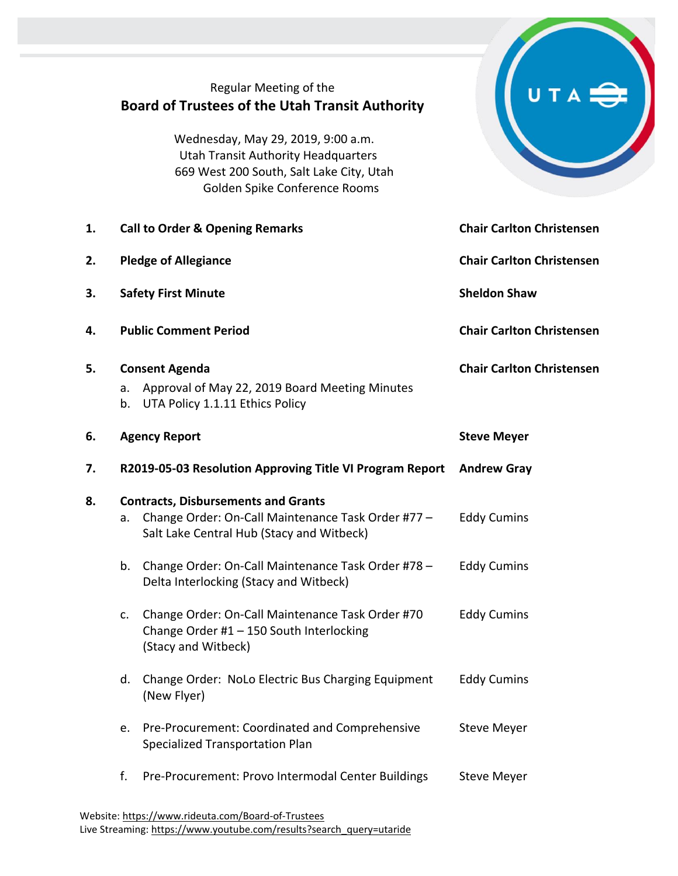|    | Regular Meeting of the<br><b>Board of Trustees of the Utah Transit Authority</b><br>Wednesday, May 29, 2019, 9:00 a.m.<br><b>Utah Transit Authority Headquarters</b><br>669 West 200 South, Salt Lake City, Utah<br>Golden Spike Conference Rooms |                                  |  |
|----|---------------------------------------------------------------------------------------------------------------------------------------------------------------------------------------------------------------------------------------------------|----------------------------------|--|
| 1. | <b>Call to Order &amp; Opening Remarks</b>                                                                                                                                                                                                        | <b>Chair Carlton Christensen</b> |  |
| 2. | <b>Pledge of Allegiance</b>                                                                                                                                                                                                                       | <b>Chair Carlton Christensen</b> |  |
| 3. | <b>Safety First Minute</b>                                                                                                                                                                                                                        | <b>Sheldon Shaw</b>              |  |
| 4. | <b>Public Comment Period</b>                                                                                                                                                                                                                      | <b>Chair Carlton Christensen</b> |  |
| 5. | <b>Consent Agenda</b><br>Approval of May 22, 2019 Board Meeting Minutes<br>a.<br>UTA Policy 1.1.11 Ethics Policy<br>b.                                                                                                                            | <b>Chair Carlton Christensen</b> |  |
|    |                                                                                                                                                                                                                                                   |                                  |  |
| 6. | <b>Agency Report</b>                                                                                                                                                                                                                              | <b>Steve Meyer</b>               |  |
| 7. | R2019-05-03 Resolution Approving Title VI Program Report                                                                                                                                                                                          | <b>Andrew Gray</b>               |  |
| 8. | <b>Contracts, Disbursements and Grants</b><br>Change Order: On-Call Maintenance Task Order #77 -<br>а.<br>Salt Lake Central Hub (Stacy and Witbeck)                                                                                               | <b>Eddy Cumins</b>               |  |
|    | Change Order: On-Call Maintenance Task Order #78 -<br>b.<br>Delta Interlocking (Stacy and Witbeck)                                                                                                                                                | <b>Eddy Cumins</b>               |  |
|    | Change Order: On-Call Maintenance Task Order #70<br>c.<br>Change Order #1 - 150 South Interlocking<br>(Stacy and Witbeck)                                                                                                                         | <b>Eddy Cumins</b>               |  |
|    | Change Order: NoLo Electric Bus Charging Equipment<br>d.<br>(New Flyer)                                                                                                                                                                           | <b>Eddy Cumins</b>               |  |
|    | Pre-Procurement: Coordinated and Comprehensive<br>e.<br>Specialized Transportation Plan                                                                                                                                                           | <b>Steve Meyer</b>               |  |